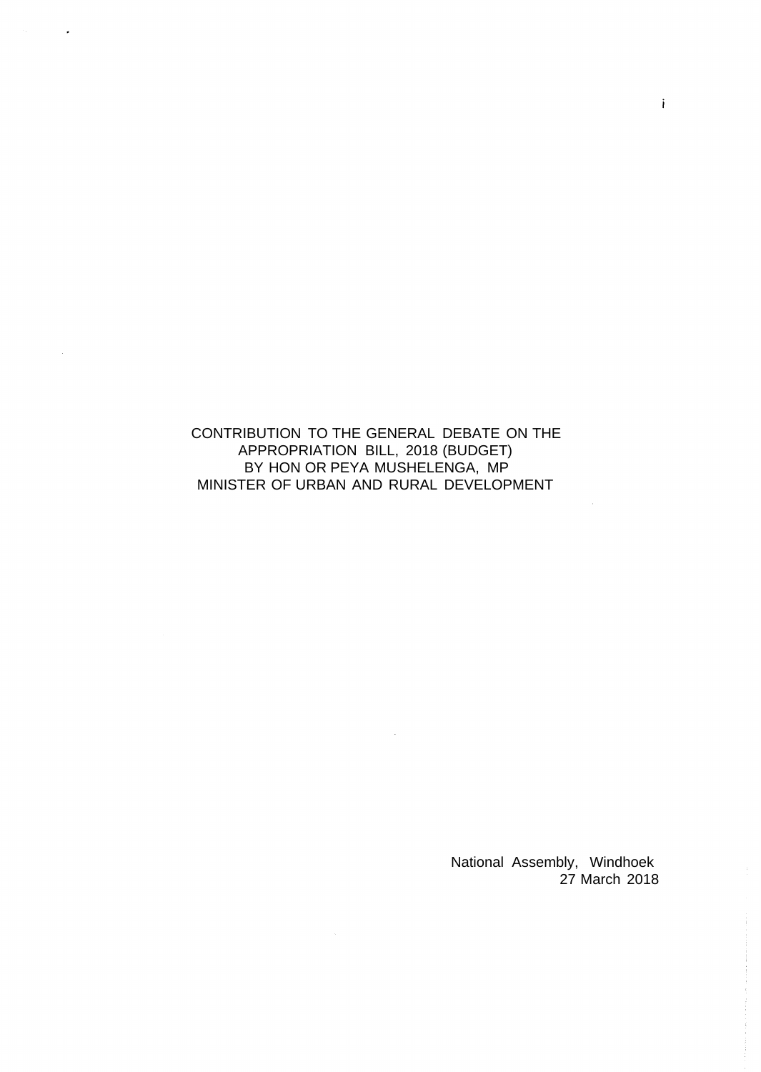CONTRIBUTION TO THE GENERAL DEBATE ON THE APPROPRIATION BILL, 2018 (BUDGET) BY HON OR PEYA MUSHELENGA, MP MINISTER OF URBAN AND RURAL DEVELOPMENT

> National Assembly, Windhoek 27 March 2018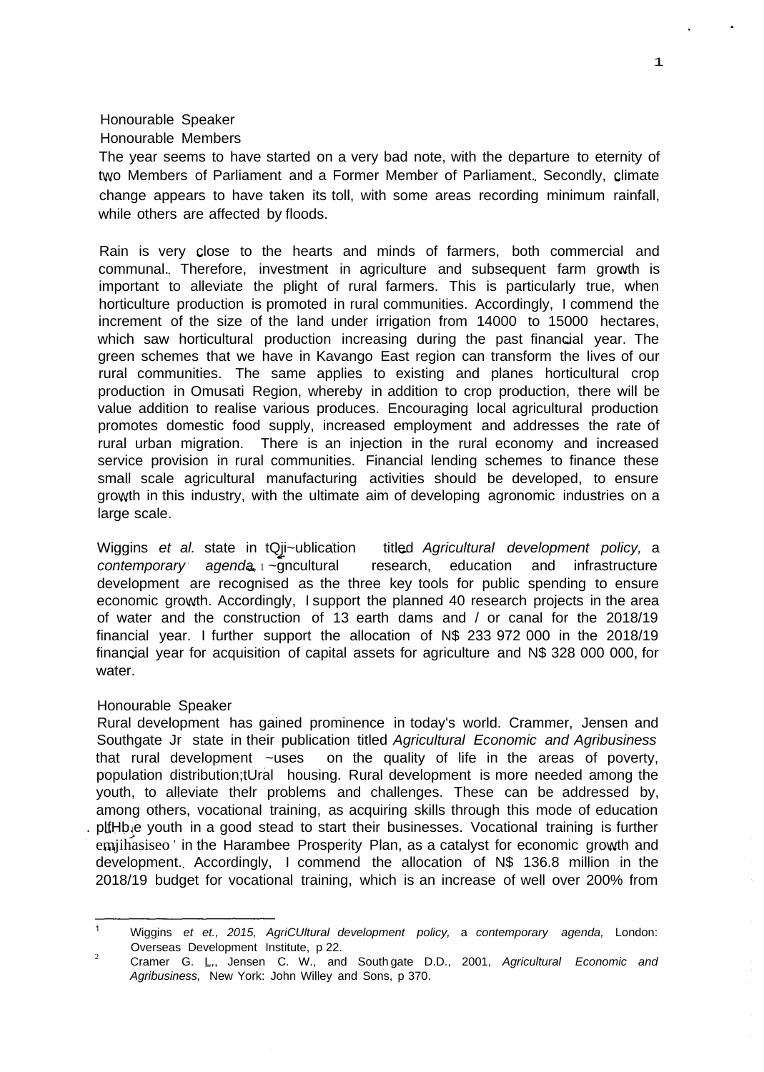## Honourable Speaker Honourable Members

The year seems to have started on a very bad note, with the departure to eternity of two Members of Parliament and a Former Member of Parliament. Secondly, climate change appears to have taken its toll, with some areas recording minimum rainfall, while others are affected by floods.

Rain is very close to the hearts and minds of farmers, both commercial and communal. Therefore, investment in agriculture and subsequent farm growth is important to alleviate the plight of rural farmers. This is particularly true, when horticulture production is promoted in rural communities. Accordingly, I commend the increment of the size of the land under irrigation from 14000 to 15000 hectares, which saw horticultural production increasing during the past financial year. The green schemes that we have in Kavango East region can transform the lives of our rural communities. The same applies to existing and planes horticultural crop production in Omusati Region, whereby in addition to crop production, there will be value addition to realise various produces. Encouraging local agricultural production promotes domestic food supply, increased employment and addresses the rate of rural urban migration. There is an injection in the rural economy and increased service provision in rural communities. Financial lending schemes to finance these small scale agricultural manufacturing activities should be developed, to ensure growth in this industry, with the ultimate aim of developing agronomic industries on a large scale.

Wiggins *et al.* state in tQji~ublication titled *Agricultural development policy,* a *contemporary agenda,* <sup>1</sup> ~gncultural research, education and infrastructure development are recognised as the three key tools for public spending to ensure economic growth. Accordingly, I support the planned 40 research projects in the area of water and the construction of 13 earth dams and / or canal for the 2018/19 financial year. I further support the allocation of N\$ 233 972 000 in the 2018/19 financial year for acquisition of capital assets for agriculture and N\$ 328 000 000, for water.

#### Honourable Speaker

Rural development has gained prominence in today's world. Crammer, Jensen and Southgate Jr state in their publication titled *Agricultural Economic and Agribusiness* that rural development ~uses on the quality of life in the areas of poverty, population distribution;tUral housing. Rural development is more needed among the youth, to alleviate thelr problems and challenges. These can be addressed by, among others, vocational training, as acquiring skills through this mode of education . plfHb.e youth in a good stead to start their businesses. Vocational training is further emjihasiseo in the Harambee Prosperity Plan, as a catalyst for economic growth and development. Accordingly, I commend the allocation of N\$ 136.8 million in the 2018/19 budget for vocational training, which is an increase of well over 200% from

 $\overline{1}$ Wiggins *et et., 2015, AgriCUltural development policy,* a *contemporary agenda,* London: Overseas Development Institute, p 22.

<sup>2</sup> Cramer G. L., Jensen C. W., and South gate D.D., 2001, *Agricultural Economic and Agribusiness,* New York: John Willey and Sons, p 370.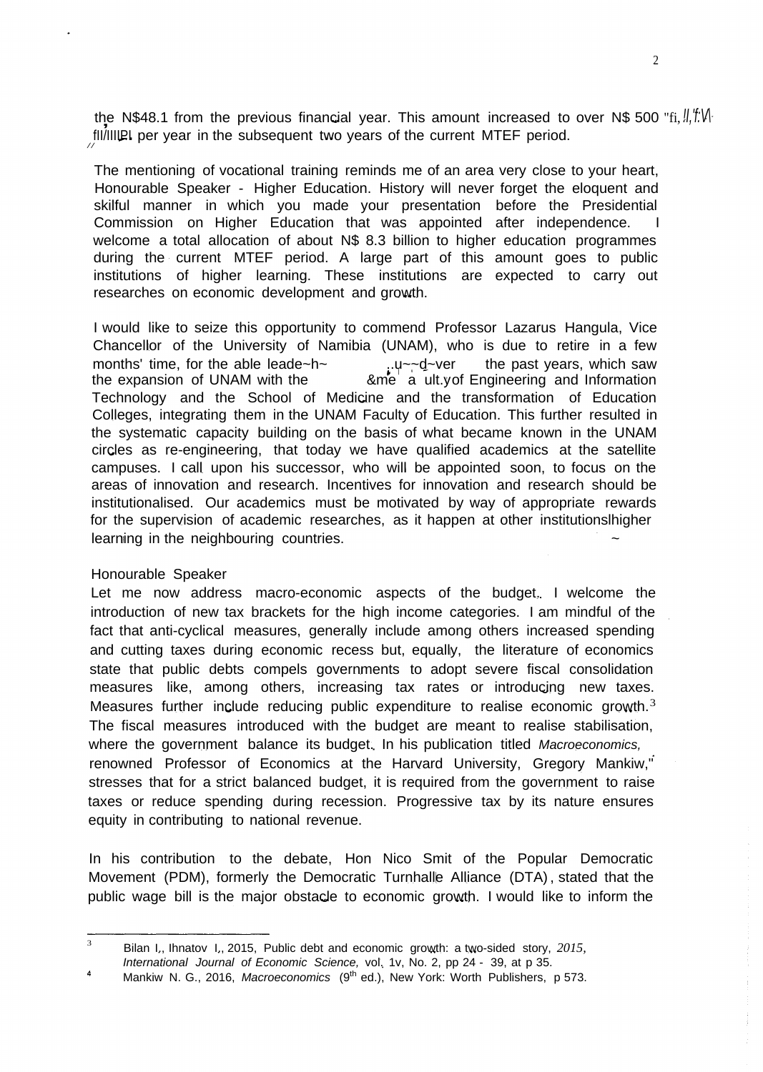the N\$48.1 from the previous financial year. This amount increased to over N\$ <sup>500</sup> "fi, *!I,'f:V\* , fil/IIIIPI per year in the subsequent two years of the current MTEF period.

The mentioning of vocational training reminds me of an area very close to your heart, Honourable Speaker - Higher Education. History will never forget the eloquent and skilful manner in which you made your presentation before the Presidential Commission on Higher Education that was appointed after independence. I welcome a total allocation of about N\$ 8.3 billion to higher education programmes during the current MTEF period. A large part of this amount goes to public institutions of higher learning. These institutions are expected to carry out researches on economic development and growth.

I would like to seize this opportunity to commend Professor Lazarus Hangula, Vice Chancellor of the University of Namibia (UNAM), who is due to retire in a few months' time, for the able leade~h~ ..u~~d~ver the past years, which saw the expansion of UNAM with the  $\frac{8m}{e}$  a ult.yof Engineering and Information Technology and the School of Medicine and the transformation of Education Colleges, integrating them in the UNAM Faculty of Education. This further resulted in the systematic capacity building on the basis of what became known in the UNAM circles as re-engineering, that today we have qualified academics at the satellite campuses. I call upon his successor, who will be appointed soon, to focus on the areas of innovation and research. Incentives for innovation and research should be institutionalised. Our academics must be motivated by way of appropriate rewards for the supervision of academic researches, as it happen at other institutionslhigher learning in the neighbouring countries.

#### Honourable Speaker

Let me now address macro-economic aspects of the budget. I welcome the introduction of new tax brackets for the high income categories. I am mindful of the fact that anti-cyclical measures, generally include among others increased spending and cutting taxes during economic recess but, equally, the literature of economics state that public debts compels governments to adopt severe fiscal consolidation measures like, among others, increasing tax rates or introducing new taxes. Measures further include reducing public expenditure to realise economic growth.<sup>3</sup> The fiscal measures introduced with the budget are meant to realise stabilisation, where the government balance its budget. In his publication titled *Macroeconomics,* renowned Professor of Economics at the Harvard University, Gregory Mankiw," stresses that for a strict balanced budget, it is required from the government to raise taxes or reduce spending during recession. Progressive tax by its nature ensures equity in contributing to national revenue.

In his contribution to the debate, Hon Nico Smit of the Popular Democratic Movement (PDM), formerly the Democratic Turnhalle Alliance (DTA), stated that the public wage bill is the major obstacle to economic growth. I would like to inform the

<sup>3</sup> Bilan I., Ihnatov I., 2015, Public debt and economic growth: a two-sided story, *2015,*

*International Journal of Economic Science,* vol. 1v, No. 2, pp 24 - 39, at p 35.

 $\overline{4}$ Mankiw N. G., 2016, Macroeconomics (9<sup>th</sup> ed.), New York: Worth Publishers, p 573.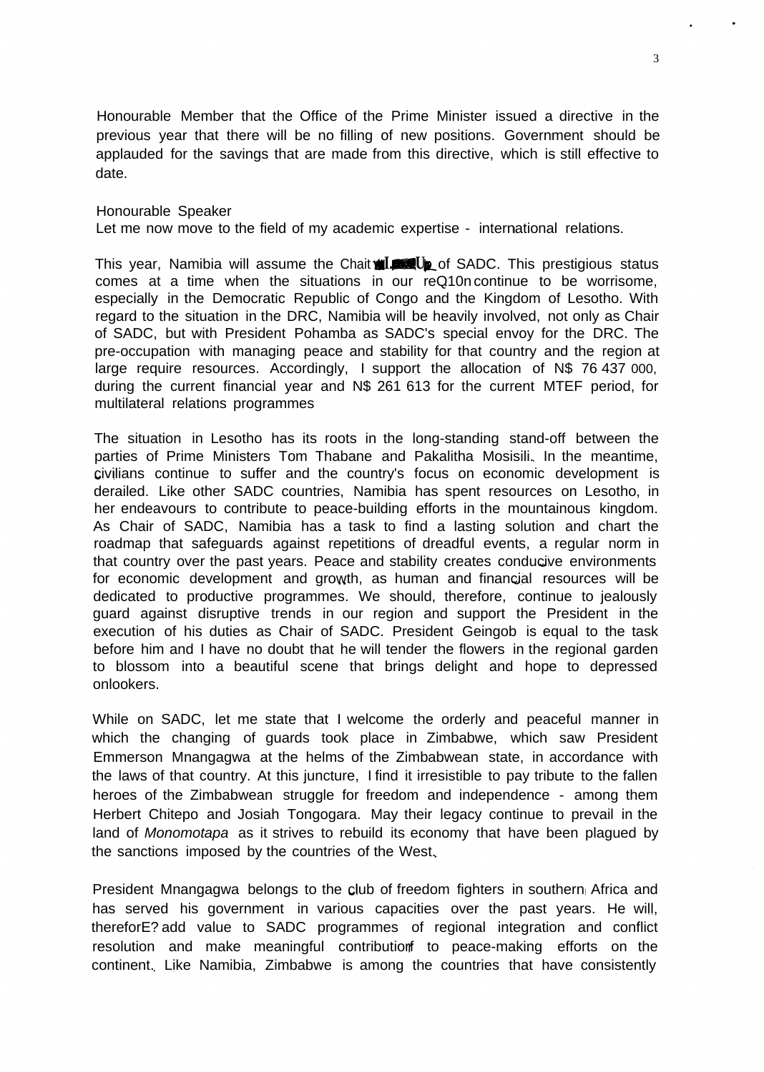Honourable Member that the Office of the Prime Minister issued a directive in the previous year that there will be no filling of new positions. Government should be applauded for the savings that are made from this directive, which is still effective to date.

Honourable Speaker

Let me now move to the field of my academic expertise - international relations.

This year, Namibia will assume the Chait **I. II.** of SADC. This prestigious status comes at a time when the situations in our reQ10n continue to be worrisome, especially in the Democratic Republic of Congo and the Kingdom of Lesotho. With regard to the situation in the DRC, Namibia will be heavily involved, not only as Chair of SADC, but with President Pohamba as SADC's special envoy for the DRC. The pre-occupation with managing peace and stability for that country and the region at large require resources. Accordingly, I support the allocation of N\$ 76 437 000, during the current financial year and N\$ 261 613 for the current MTEF period, for multilateral relations programmes

The situation in Lesotho has its roots in the long-standing stand-off between the parties of Prime Ministers Tom Thabane and Pakalitha Mosisili. In the meantime, civilians continue to suffer and the country's focus on economic development is derailed. Like other SADC countries, Namibia has spent resources on Lesotho, in her endeavours to contribute to peace-building efforts in the mountainous kingdom. As Chair of SADC, Namibia has a task to find a lasting solution and chart the roadmap that safeguards against repetitions of dreadful events, a regular norm in that country over the past years. Peace and stability creates conducive environments for economic development and growth, as human and financial resources will be dedicated to productive programmes. We should, therefore, continue to jealously guard against disruptive trends in our region and support the President in the execution of his duties as Chair of SADC. President Geingob is equal to the task before him and I have no doubt that he will tender the flowers in the regional garden to blossom into a beautiful scene that brings delight and hope to depressed onlookers.

While on SADC, let me state that I welcome the orderly and peaceful manner in which the changing of guards took place in Zimbabwe, which saw President Emmerson Mnangagwa at the helms of the Zimbabwean state, in accordance with the laws of that country. At this juncture, I find it irresistible to pay tribute to the fallen heroes of the Zimbabwean struggle for freedom and independence - among them Herbert Chitepo and Josiah Tongogara. May their legacy continue to prevail in the land of *Monomotapa* as it strives to rebuild its economy that have been plagued by the sanctions imposed by the countries of the West.

President Mnangagwa belongs to the club of freedom fighters in southern Africa and has served his government in various capacities over the past years. He will, thereforE? add value to SADC programmes of regional integration and conflict resolution and make meaningful contributiorf to peace-making efforts on the continent. Like Namibia, Zimbabwe is among the countries that have consistently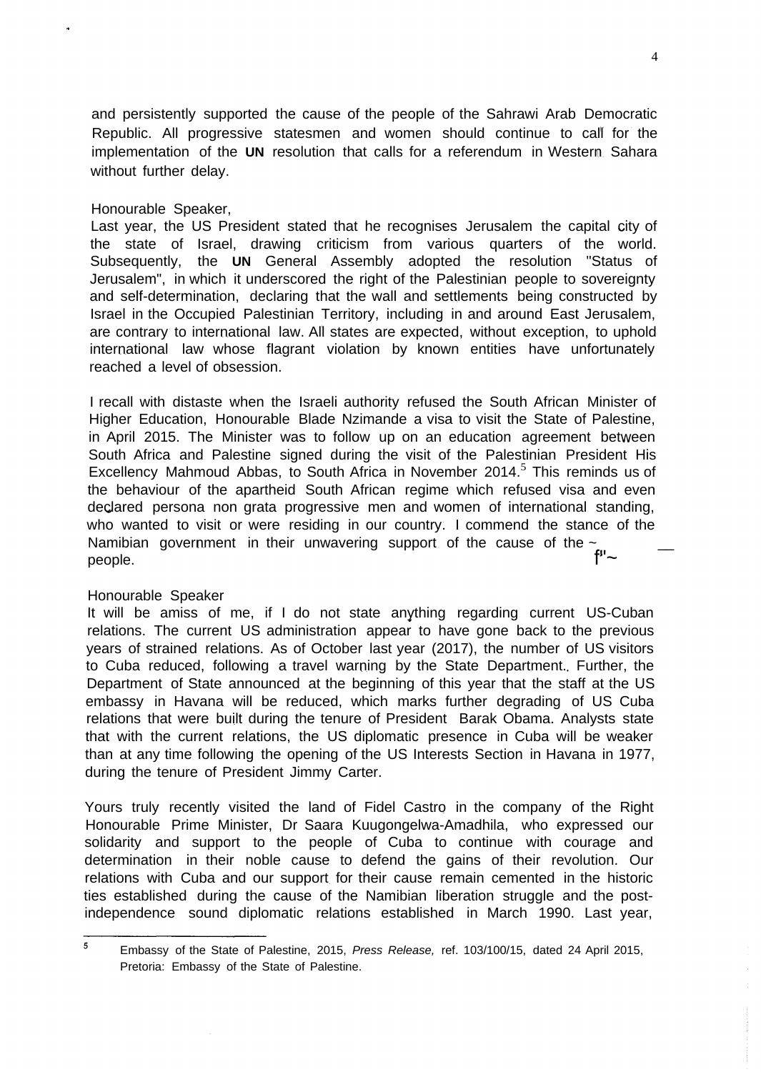and persistently supported the cause of the people of the Sahrawi Arab Democratic Republic. All progressive statesmen and women should continue to call for the implementation of the **UN** resolution that calls for a referendum in Western Sahara without further delay.

### Honourable Speaker,

Last year, the US President stated that he recognises Jerusalem the capital city of the state of Israel, drawing criticism from various quarters of the world. Subsequently, the **UN** General Assembly adopted the resolution "Status of Jerusalem", in which it underscored the right of the Palestinian people to sovereignty and self-determination, declaring that the wall and settlements being constructed by Israel in the Occupied Palestinian Territory, including in and around East Jerusalem, are contrary to international law. All states are expected, without exception, to uphold international law whose flagrant violation by known entities have unfortunately reached a level of obsession.

I recall with distaste when the Israeli authority refused the South African Minister of Higher Education, Honourable Blade Nzimande a visa to visit the State of Palestine, in April 2015. The Minister was to follow up on an education agreement between South Africa and Palestine signed during the visit of the Palestinian President His Excellency Mahmoud Abbas, to South Africa in November 2014.<sup>5</sup> This reminds us of the behaviour of the apartheid South African regime which refused visa and even declared persona non grata progressive men and women of international standing, who wanted to visit or were residing in our country. I commend the stance of the Namibian government in their unwavering support of the cause of the  $\cdot$ people.  $f'' \sim$ 

# Honourable Speaker

It will be amiss of me, if I do not state anything regarding current US-Cuban relations. The current US administration appear to have gone back to the previous years of strained relations. As of October last year (2017), the number of US visitors to Cuba reduced, following a travel warning by the State Department. Further, the Department of State announced at the beginning of this year that the staff at the US embassy in Havana will be reduced, which marks further degrading of US Cuba relations that were built during the tenure of President Barak Obama. Analysts state that with the current relations, the US diplomatic presence in Cuba will be weaker than at any time following the opening of the US Interests Section in Havana in 1977, during the tenure of President Jimmy Carter.

Yours truly recently visited the land of Fidel Castro in the company of the Right Honourable Prime Minister, Dr Saara Kuugongelwa-Amadhila, who expressed our solidarity and support to the people of Cuba to continue with courage and determination in their noble cause to defend the gains of their revolution. Our relations with Cuba and our support for their cause remain cemented in the historic ties established during the cause of the Namibian liberation struggle and the postindependence sound diplomatic relations established in March 1990. Last year,

 $5^{\circ}$ Embassy of the State of Palestine, 2015, *Press Release,* ref. 103/100/15, dated 24 April 2015, Pretoria: Embassy of the State of Palestine.